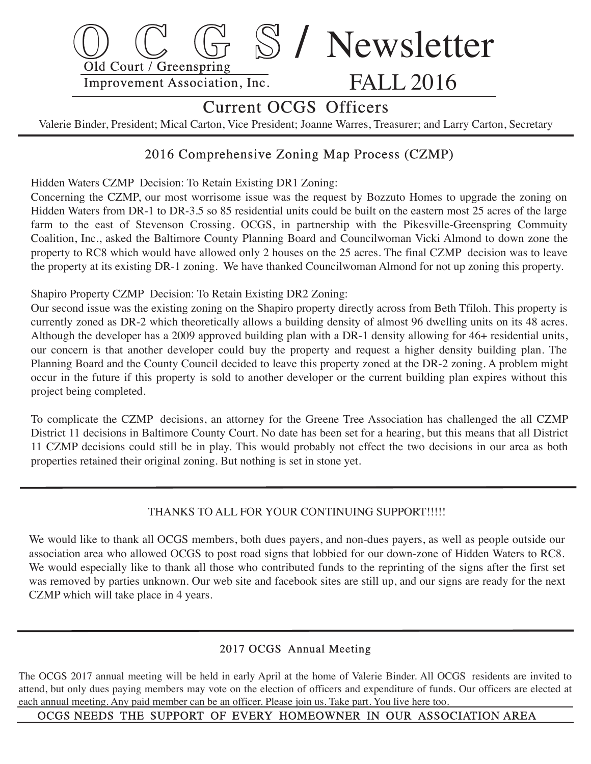

# Current OCGS Officers

Valerie Binder, President; Mical Carton, Vice President; Joanne Warres, Treasurer; and Larry Carton, Secretary

# 2016 Comprehensive Zoning Map Process (CZMP)

Hidden Waters CZMP Decision: To Retain Existing DR1 Zoning:

 Concerning the CZMP, our most worrisome issue was the request by Bozzuto Homes to upgrade the zoning on Hidden Waters from DR-1 to DR-3.5 so 85 residential units could be built on the eastern most 25 acres of the large farm to the east of Stevenson Crossing. OCGS, in partnership with the Pikesville-Greenspring Commuity Coalition, Inc., asked the Baltimore County Planning Board and Councilwoman Vicki Almond to down zone the property to RC8 which would have allowed only 2 houses on the 25 acres. The final CZMP decision was to leave the property at its existing DR-1 zoning. We have thanked Councilwoman Almond for not up zoning this property.

Shapiro Property CZMP Decision: To Retain Existing DR2 Zoning:

Our second issue was the existing zoning on the Shapiro property directly across from Beth Tfiloh. This property is currently zoned as DR-2 which theoretically allows a building density of almost 96 dwelling units on its 48 acres. Although the developer has a 2009 approved building plan with a DR-1 density allowing for  $46+$  residential units, our concern is that another developer could buy the property and request a higher density building plan. The Planning Board and the County Council decided to leave this property zoned at the DR-2 zoning. A problem might occur in the future if this property is sold to another developer or the current building plan expires without this project being completed.

 To complicate the CZMP decisions, an attorney for the Greene Tree Association has challenged the all CZMP District 11 decisions in Baltimore County Court. No date has been set for a hearing, but this means that all District 11 CZMP decisions could still be in play. This would probably not effect the two decisions in our area as both properties retained their original zoning. But nothing is set in stone yet.

### THANKS TO ALL FOR YOUR CONTINUING SUPPORT!!!!!

We would like to thank all OCGS members, both dues payers, and non-dues payers, as well as people outside our association area who allowed OCGS to post road signs that lobbied for our down-zone of Hidden Waters to RC8. We would especially like to thank all those who contributed funds to the reprinting of the signs after the first set was removed by parties unknown. Our web site and facebook sites are still up, and our signs are ready for the next CZMP which will take place in 4 years.

### 2017 OCGS Annual Meeting

 The OCGS 2017 annual meeting will be held in early April at the home of Valerie Binder. All OCGS residents are invited to attend, but only dues paying members may vote on the election of officers and expenditure of funds. Our officers are elected at each annual meeting. Any paid member can be an officer. Please join us. Take part. You live here too .

### OCGS NEEDS THE SUPPORT OF EVERY HOMEOWNER IN OUR ASSOCIATION AREA